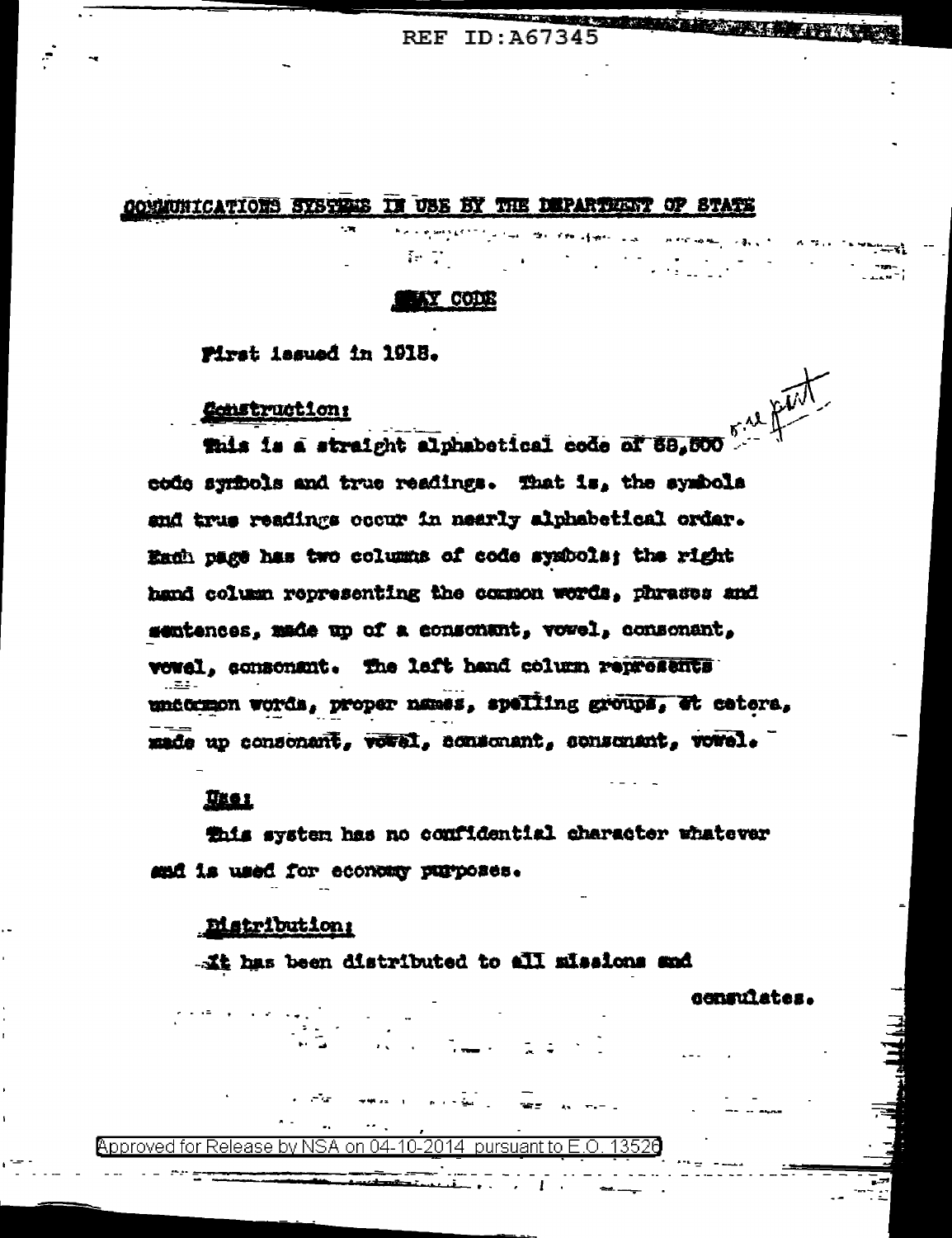**KENNY AND THE REAL PROPERTY OF REAL PROPERTY REF ID: A67345** 

**OMNUNICATIONS SYSTEMS IN USE BY THE DEPARTMENT OF STATE** 

#### **LAY CODE**

Pirst issued in 1918.

**Construction:** 

This is a straight alphabetical code of 88,500 code symbols and true readings. That is, the symbols and true readings occur in nearly alphabetical ordar. Each page has two columns of code sysbols; the right hand column representing the common words, phrases and sentences, made up of a consonant, vovel, consonant, vowel, consonant. The laft hand column represents und traon words, proper names, spelling groups, et cetera, made up consonant, voral, consonant, consonant, vowel.

## <u>User</u>

this system has no confidential character whatever and is used for economy purposes.

#### **Bistribution:**

... It has been distributed to all missions and

censulates.

#### by NSA on 04-10-2014. pursuant to E.O.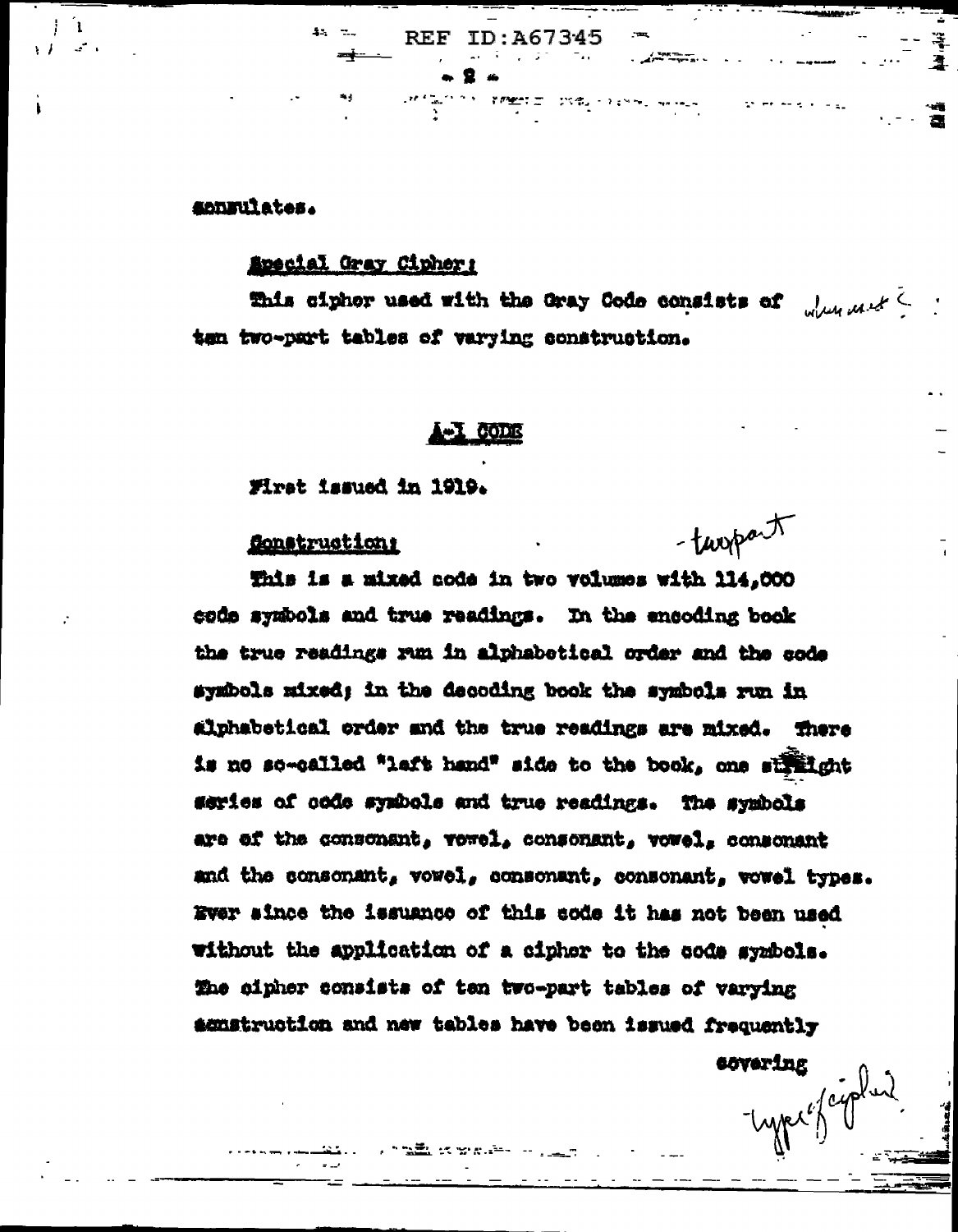**ADDEUlates.** 

ा

#### Special Gray Cipher:

This ciphor used with the Gray Code consists of the mast ten two-part tables of varying construction.

**REF ID:A67345** 

 $\mathcal{R} \mathcal{P} \mathcal{P} \mathcal{P} \mathcal{P} \mathcal{P} \mathcal{P} \mathcal{P} \mathcal{P} \mathcal{P} \mathcal{P} \mathcal{P} \mathcal{P} \mathcal{P} \mathcal{P} \mathcal{P} \mathcal{P} \mathcal{P} \mathcal{P} \mathcal{P} \mathcal{P} \mathcal{P} \mathcal{P} \mathcal{P} \mathcal{P} \mathcal{P} \mathcal{P} \mathcal{P} \mathcal{P} \mathcal{P} \mathcal{P} \mathcal{P} \mathcal{P} \mathcal{P} \mathcal{P} \mathcal{P} \mathcal{$ 

tatum<br>Tari di Zangmang di Linux di Lagunan di Li

- twopart

- Lype of cyp

First issued in 1919.

Sonstruction:

This is a mixed code in two volumes with 114,000 code symbols and true readings. In the encoding book the true readings run in alphabetical order and the code symbols mixed; in the decoding book the symbols run in alphabetical order and the true readings are mixed. There is no so-called "laft hand" side to the book, one straight series of code symbols and true readings. The symbols are of the consonant, vevel, consonant, vevel, consonant and the consonant, vowel, consonant, consonant, vowel types. Ever since the issuance of this sode it has not been used without the application of a cipher to the code symbols. The cipher consists of ten two-part tables of varying acustruction and new tables have been issued frequently **covering** 

<u>, talik sama</u>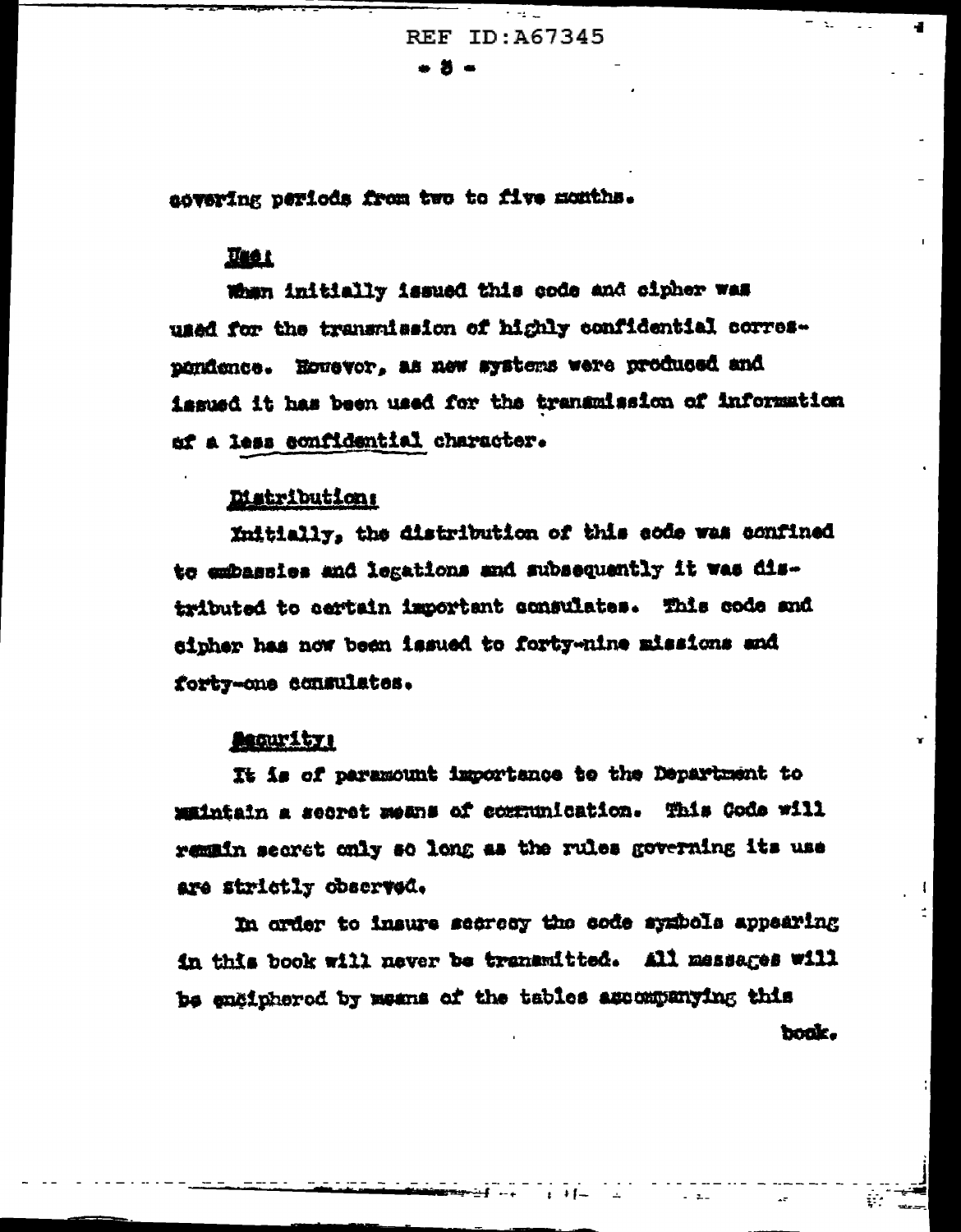REF ID: A67345 . 5 .

 $\sim 1000$ 

 $\sim$   $\sim$ 

 $\bullet$ 

covering periods from two to five months.

## Tast

When initially issued this code and cipher was used for the transmission of highly confidential correspondence. However, as new systems were produced and issued it has been used for the transmission of information of a less confidential character.

#### Distribution:

Initially, the distribution of this code was confined to embassies and legations and subsequently it was distributed to certain important consulates. This code and sipher has now been issued to forty-nine missions and forty-one consulates.

## **Acourity:**

It is of paramount importance to the Department to maintain a secret means of communication. This Gods will remain secret only so long as the rules governing its use are strictly observed.

In order to insure secrecy the code systed appearing in this book will never be transmitted. All messages will be engipherod by means of the tables assempanying this book.

 $+ +$   $-$ 

 $\Delta_{\rm c}$ 

 $\sim$   $\sim$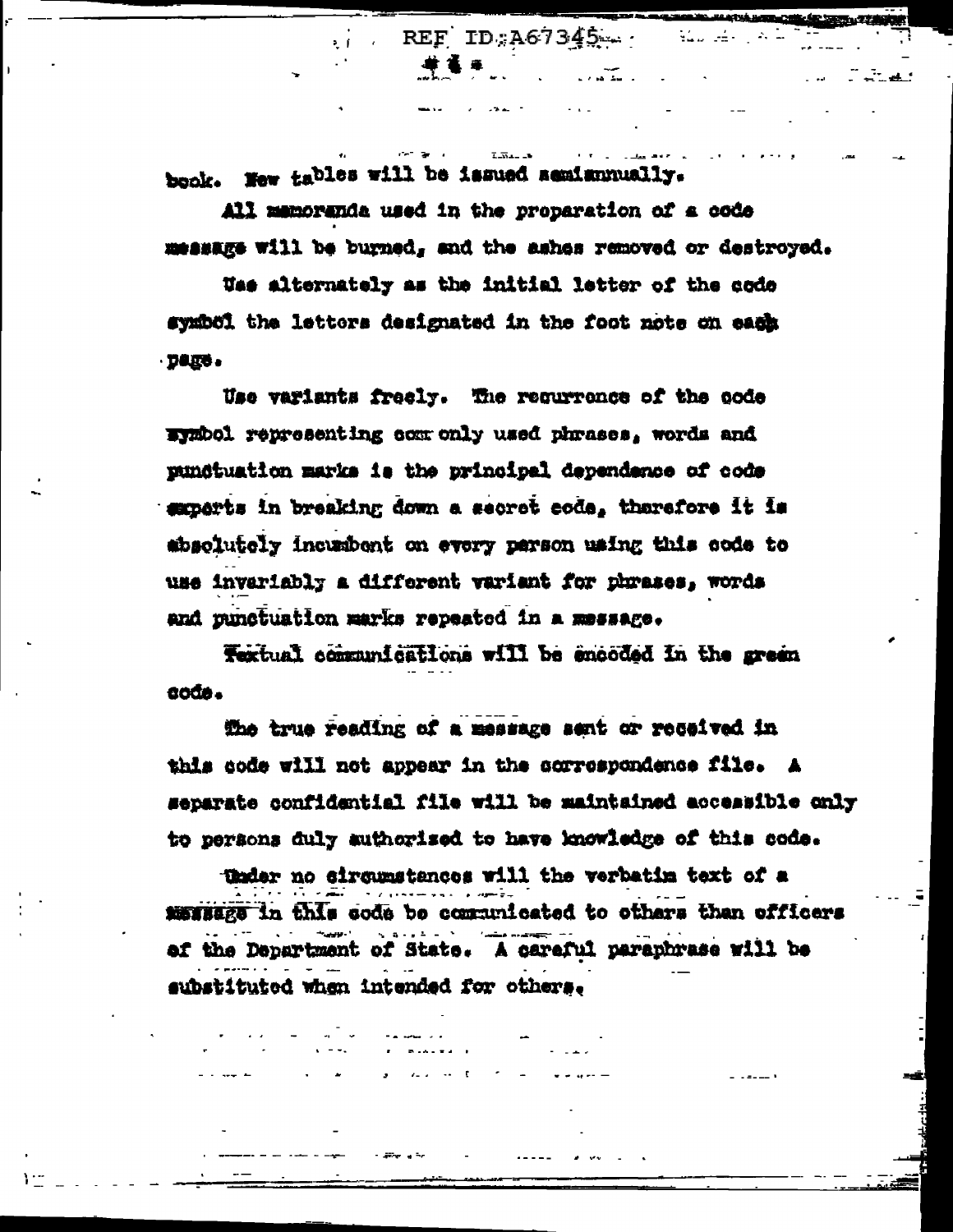book. New tables will be issued semismually.

All mamoranda used in the proparation of a code message will be burned, and the ashes removed or destroyed.

 $REFID: A67345...$ 

till sin

 $\mathcal{L}^{\text{max}}$  , where  $\mathcal{L}^{\text{max}}$ 

a sa tanggalan sa sa tagapun ng mga barang ng mga bangayang ng mga bangayang ng mga bangayang ng mga pangayang ng mangayang ng mang nagayang ng mang nagayang ng mang nagayang nagayang nagayang nagayang nagayang nagayang na

Use alternately as the initial letter of the code symbol the lettors designated in the foot note on each · DODS.

Use variants freely. The requrrence of the code Evabol representing com only used phrases, words and pundtuation marks is the principal dependence of code senarts in breaking down a secret code, therefore it is absolutely incusbent on every person using this code to use invariably a different variant for phrases, words and punctuation marks repeated in a message.

Textual communications will be encoded in the green code.

the true reading of a message sent or received in this code will not appear in the sorrospondence file. A separate confidential file will be maintained accessible only to persons duly authorized to have knowledge of this code.

theder no sircumstances will the verbatim text of a METHERS in this code be communicated to others than officers of the Department of State. A careful paraphrase will be substituted when intended for others.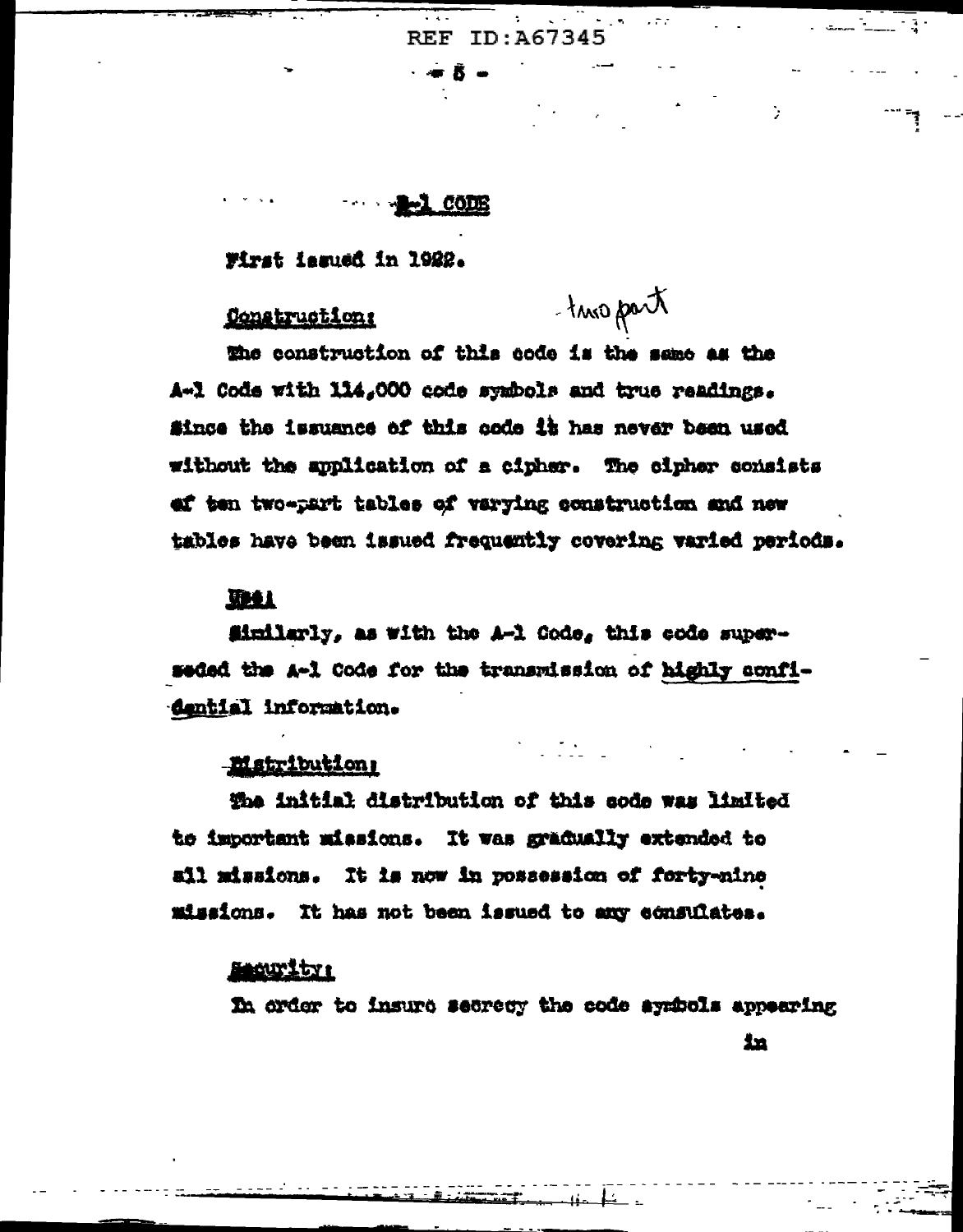$\sigma_{\rm{max}}=0.0000$ **REF ID: A67345** 

 $\sim$  6008

Wirst issued in 1922.

## Construction:

-turo part

 $\sim$  and  $\sim$   $\sim$   $\sim$   $\sim$   $\sim$ 

the construction of this code is the same as the A-1 Code with 114,000 code symbols and true readings. Since the issuance of this code it has never been used without the application of a cipher. The cipher consists of ten two-part tables of varying construction and new tables have been issued frequently covering varied periods.

## **The L**

Similarly, as with the A-1 Code, this code superseded the A-1 Code for the transmission of highly confidential information.

## **Elstribution:**

the initial distribution of this code was limited to important missions. It was gradually extended to all missions. It is now in possession of forty-nine missions. It has not been issued to any consulates.

## meurity:

In order to insure secrecy the code aymbols appearing

 $\mathbf{L}$ 

in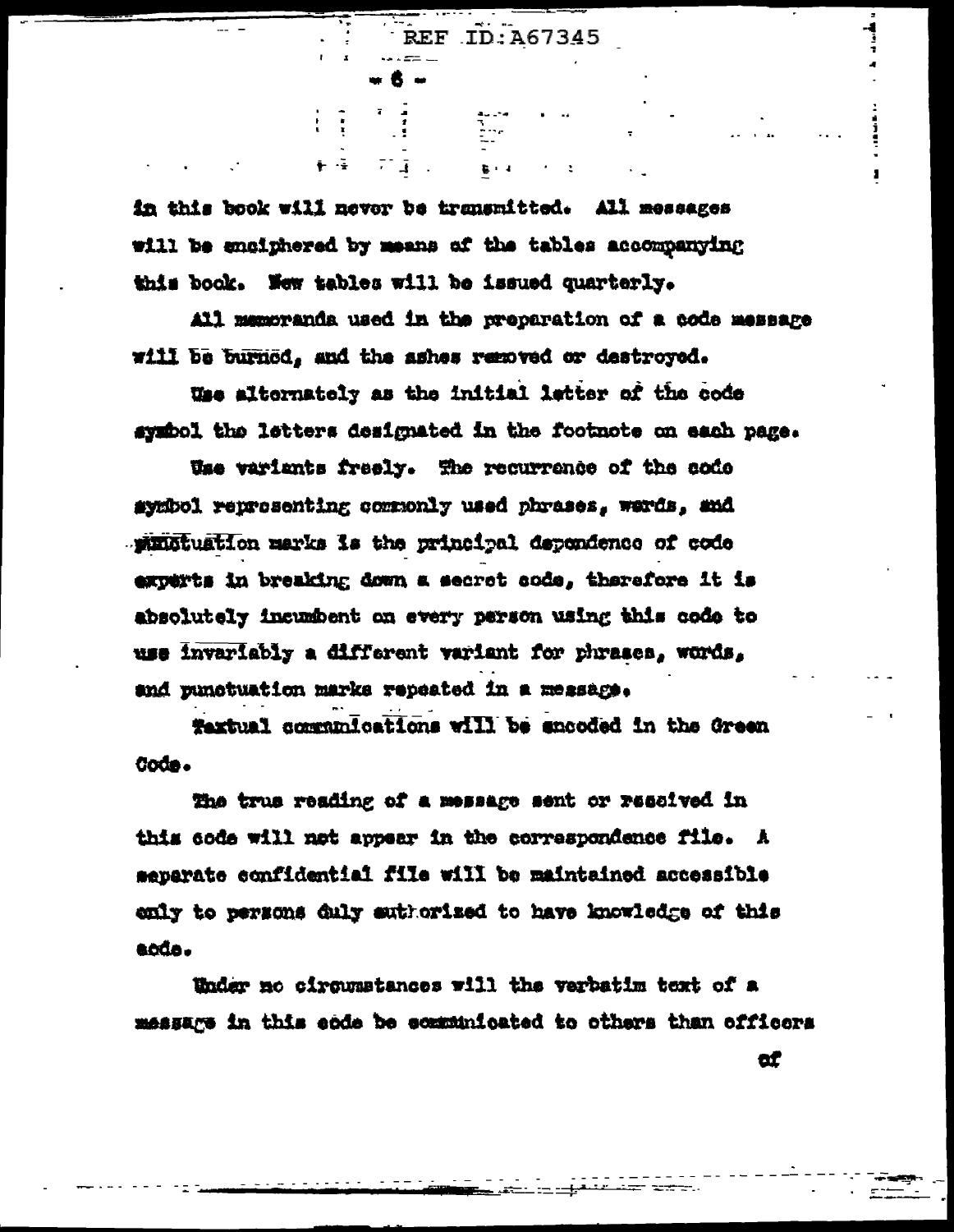in this book will never be transmitted. All messages will be enciphered by means of the tables accompanying this book. New tables will be issued quarterly.

 $\mathbb{P}^1(\mathbb{R}^d)$  .

All memoranda used in the preparation of a code message will be burned, and the ashes removed or destroyed.

REF ID: A67345

.<br>Glej d

Was alternately as the initial letter of the code symbol the letters designated in the footnote on each page.

Use variants freely. The recurrence of the code symbol reprosenting commonly used phrases, words, and . Ministuation marks is the principal dependence of code experts in breaking down a secret code, therefore it is absolutely incumbent on every person using this code to use invariably a different variant for phrases, words, and punctuation marks repeated in a message.

Textual communications will be encoded in the Green Code.

The true reading of a message sent or resolved in this code will not appear in the correspondence file. A aeparate confidential file will be maintained accessible enly to persons duly suthorized to have knowledge of this aoda.

Under no circumstances will the verbatim text of a message in this ende be ecumunicated to others than officers

ď

 $\frac{1}{2}$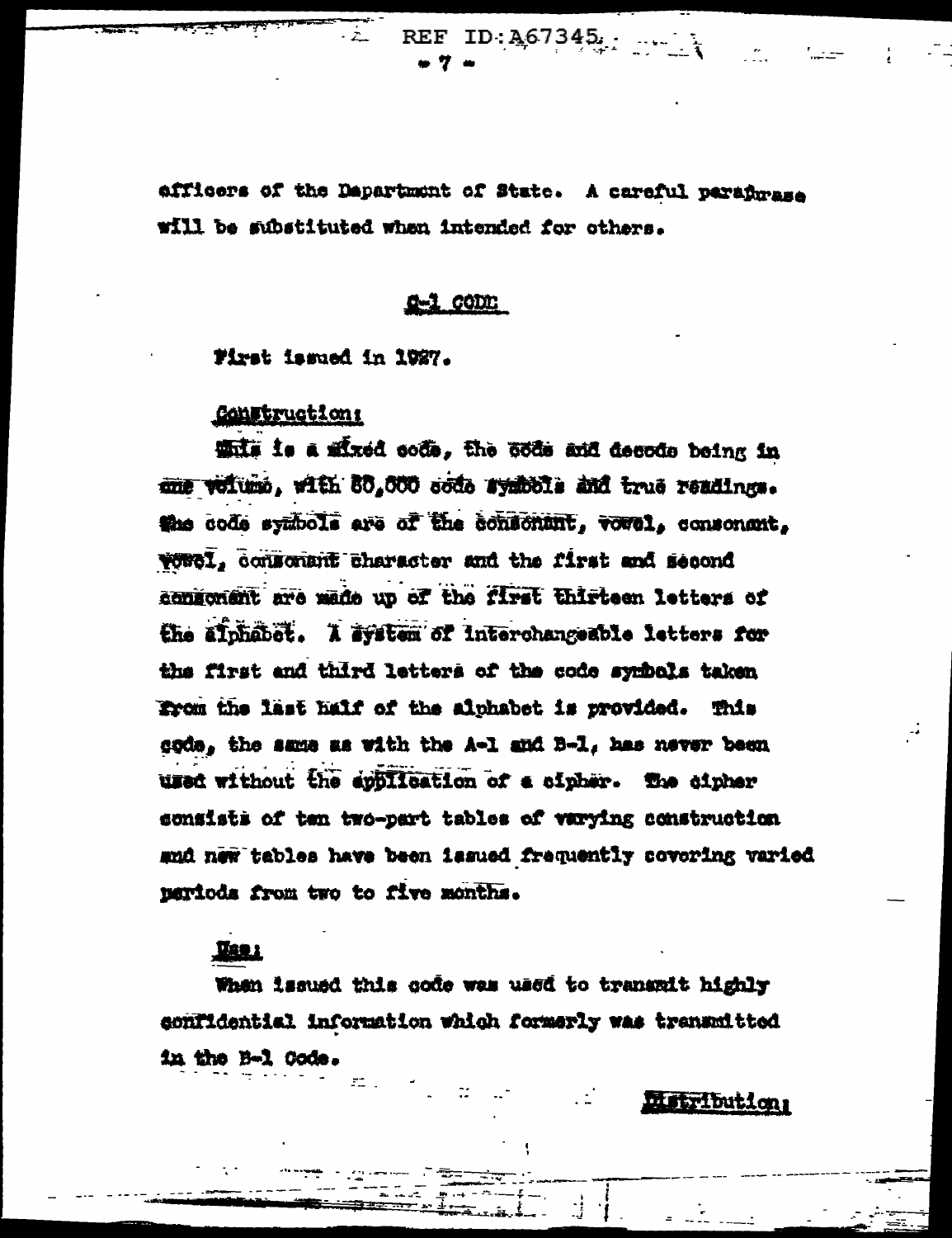REF  $ID: A67345...$ . 7.

afficers of the Department of State. A careful paradmana will be substituted when intended for others.

## conn:

First issued in 1927.

# **Construction:**

While is a mixed code. The code and decode being in mie veitumo, with 80,000 code symbole and true readings. the code symbols are of the consonant, vovel, consonant, vowel, consonant character and the first and second consoment are made up of the first thirteen letters of the ainhabet. I avstem of interchangeable letters for the first and third letters of the code symbols taken From the last half of the alphabet is provided. This gode, the same as with the A-1 and B-1, has never been used without the application of a cipher. The cipher sonsists of ten two-part tables of varying construction and new tables have been issued frequently covering varied pariods from two to five months.

## <u>Barr</u>

When issued this code was used to transmit highly confidential information which formerly was transmitted in the B-1 Code.

**Metribution**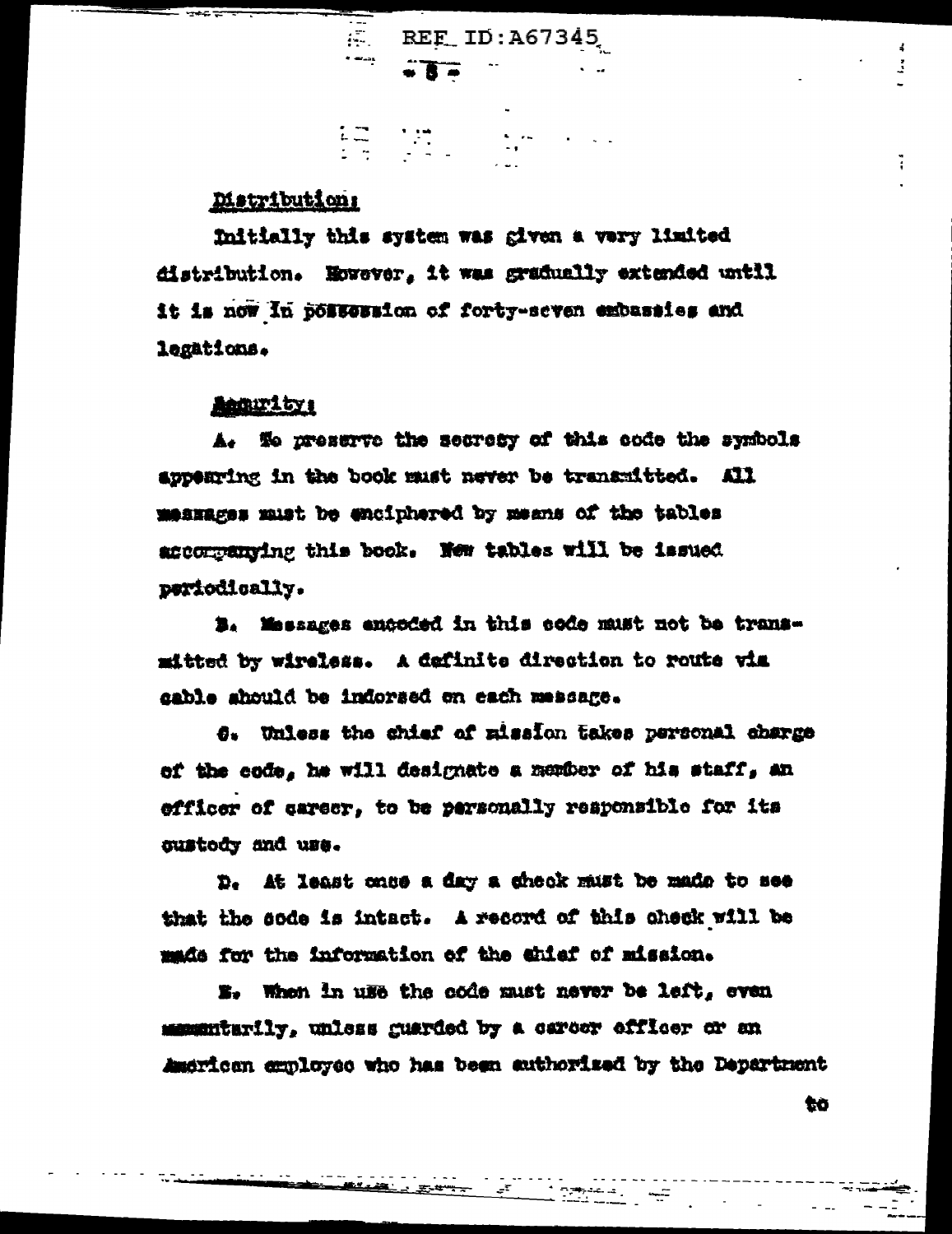## Matribution:

Initially this system was given a very limited distribution. However, it was gradually extended until it is now in possession of forty-seven exbassies and legations.

 $\overline{R}$  REF ID: A67345

 $\begin{array}{l} \mathbb{E} \overline{\mathbb{E}}_{\mathbb{E}} \left( \begin{array}{ccc} \mathbb{E} \overline{\mathbb{E}}_{\mathbb{E}} & \mathbb{E}_{\mathbb{E}} \mathbb{E}_{\mathbb{E}} \\ \mathbb{E}_{\mathbb{E}} \mathbb{E}_{\mathbb{E}} & \mathbb{E}_{\mathbb{E}} \mathbb{E}_{\mathbb{E}} \end{array} \right) \end{array}$ 

 $\bullet$  3  $\bullet$ 

#### **Accurity:**

A. We preserve the secrety of this code the symbols appearing in the book must never be transmitted. All messages must be enciphered by means of the tables accompanying this book. New tables will be issued periodically.

B. Messages encoded in this code must not be transmitted by wireless. A definite direction to route via gable should be indorsed on each message.

6. Unless the chief of mission takes personal charge of the code, he will designate a member of his staff, an efficer of career, to be personally responsible for its sustedy and use.

D. At least case a day a check must be made to see that the sode is intact. A record of this check will be made for the information of the chief of mission.

E. When in use the code must never be left, even manufarily, unless guarded by a career effloer or an American employee who has been authorized by the Department

to

Ĵ.

÷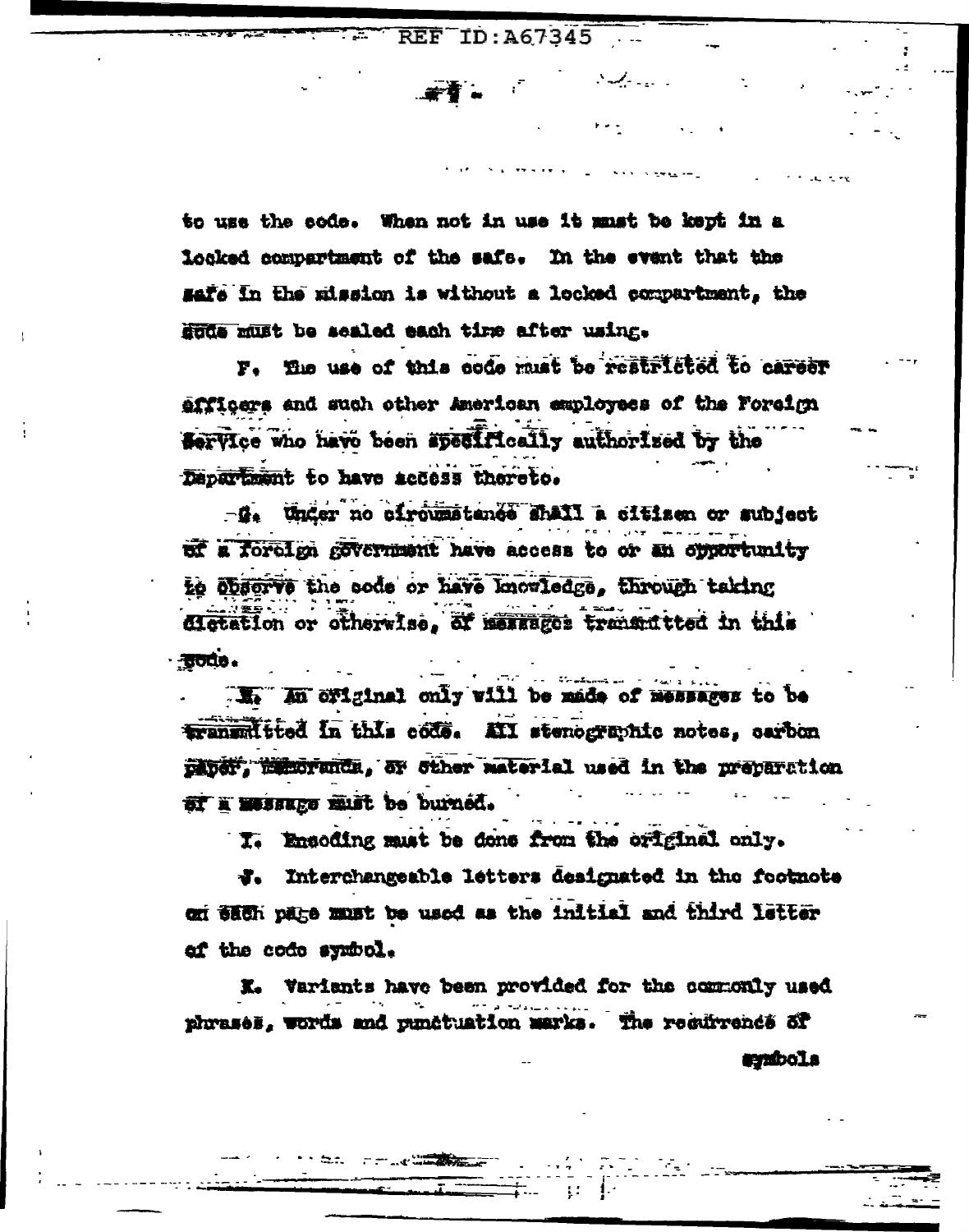$\overline{\text{REF}}$  TD: A67345  $\ldots$ 

a Salaman Sala

to use the code. When not in use it must be kept in a locked compartment of the safe. In the event that the safe in the mission is without a locked compartment, the sode must be sealed each time after using.

F. The use of this code must be restricted to career efficers and such other American employees of the Foreign Service who have been apecifically authorized by the Department to have access thereto.

-d. Under no circumstance shall a citizen or subject of a foreign government have access to or an opportunity to öbserve the sode or have knowledge. through taking dictation or otherwise, of messages transmitted in this - aude.

I. An original only will be made of messages to be transmitted in this code. All stenographic notes, carbon paner. Wilmoranda, or other material used in the preparation ST I WOSSEED ELST be burned.

I. Emsoding must be done from the original only.

**J.** Interchangeable letters designated in the footnote on sach pare must be used as the initial and third letter of the code symbol.

K. Variants have been provided for the commonly used phrases, words and punctuation marks. The recurrence of

t bill

symbola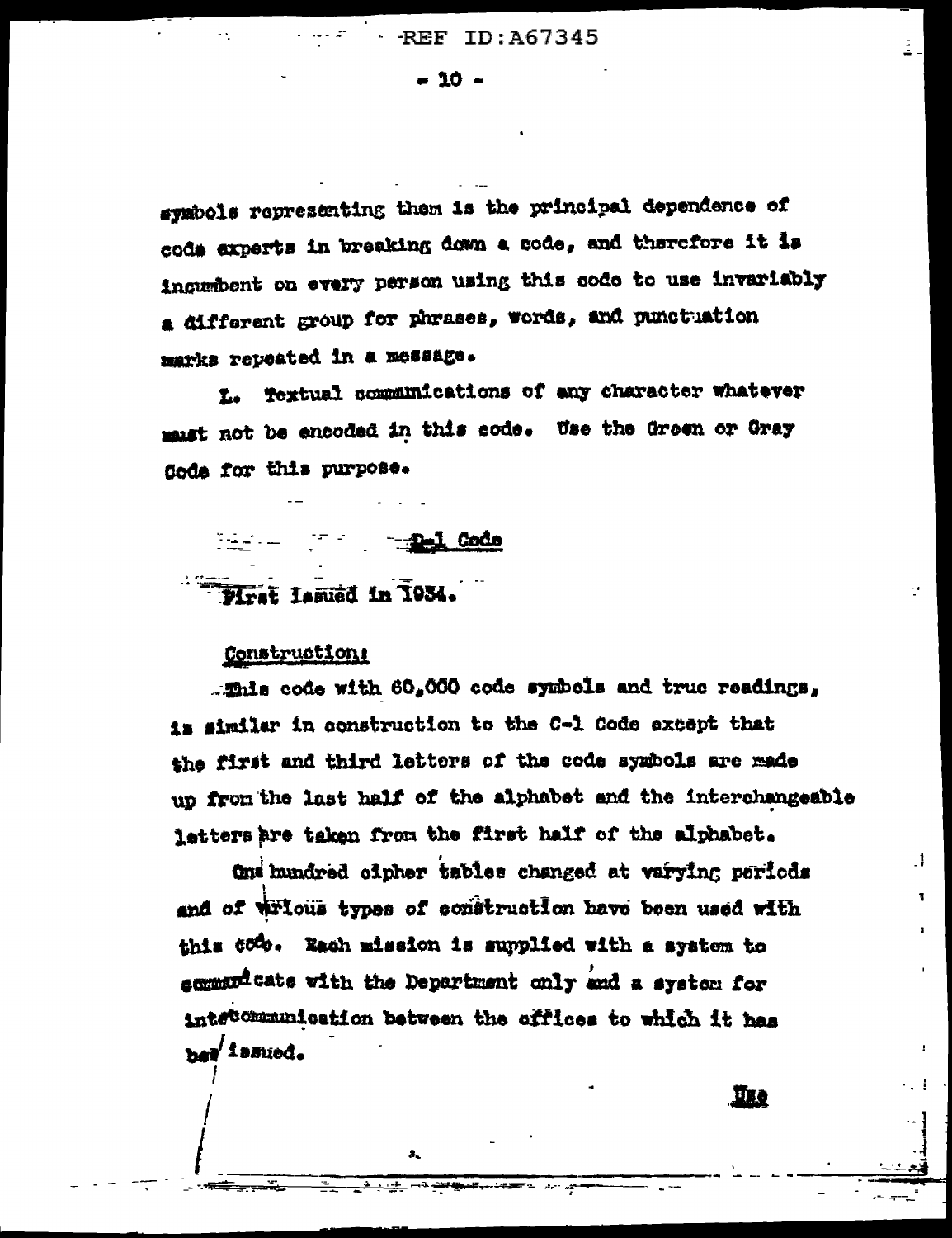$-10 -$ 

symbols representing them is the principal dependence of code experts in breaking down a code, and therefore it is ingumbent on every person using this sode to use invariably a different group for phrases, words, and punctuation marks repeated in a message.

L. Textual communications of any character whatever must not be encoded in this code. Use the Green or Gray Code for this purpose.

--D-1 Code First Lamued in 1934.

## Constructions

. This code with 60,000 code symbols and true readings, is similar in construction to the C-1 Code except that the first and third letters of the code symbols are made up from the last half of the alphabet and the interchangeable letters are taken from the first half of the alphabet.

One hundred oinher tables changed at varying periods and of wricus types of construction have been used with this 600. Each mission is supplied with a system to sommand cate with the Department only and a system for intecommunication between the offices to which it has bed instind.

А.

**III.Q** 

J.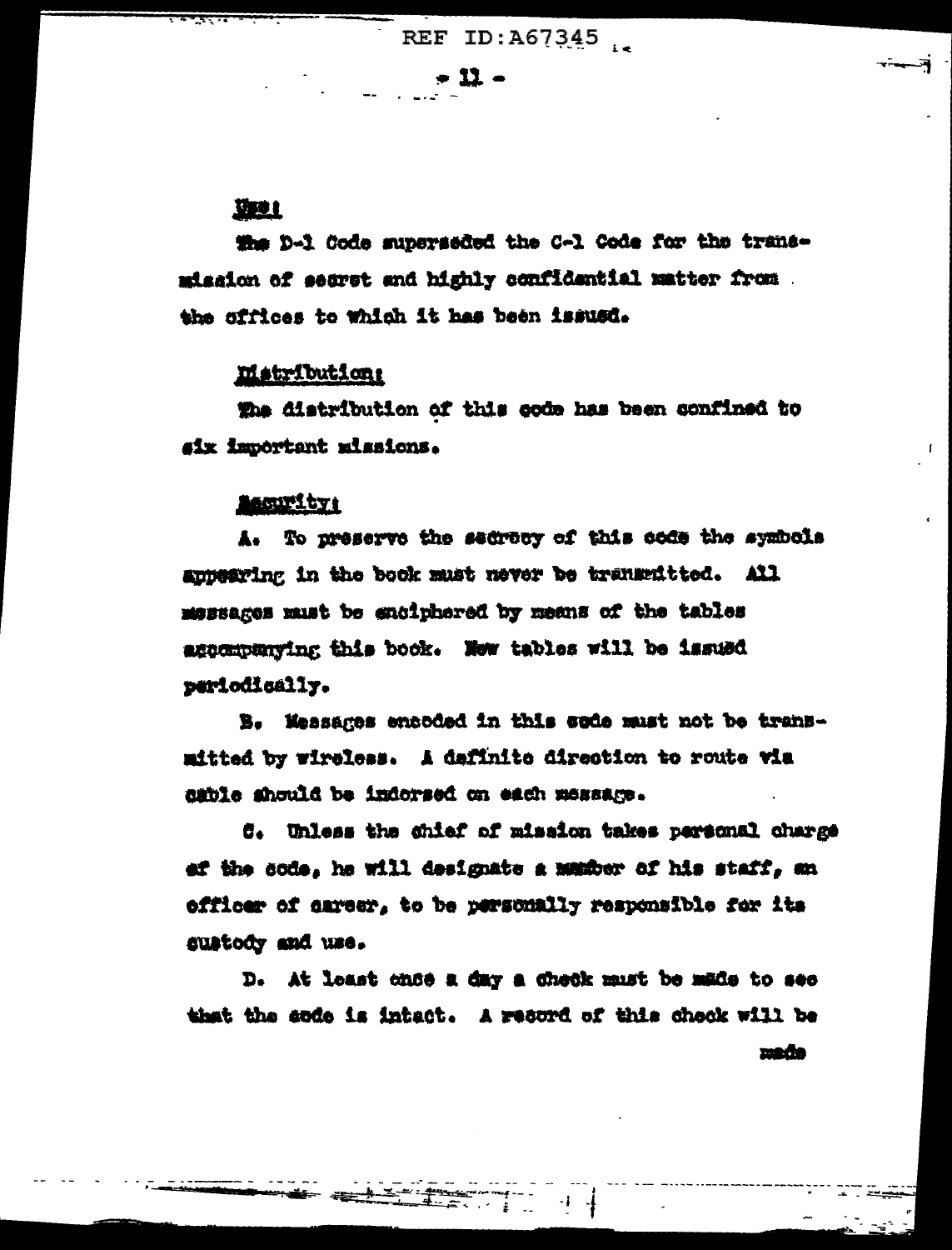$-11-$ 

## 聖社

the D-1 Code superseded the C-1 Code for the transmission of segret and highly confidential matter from . the offices to which it has been issued.

## matribution:

The distribution of this code has been confined to six important missions.

 $\mathbf{L}$ 

#### **Becurity:**

A. To preserve the sedrecy of this code the symbols annearing in the book must never be transmitted. All messages must be enciphered by means of the tables ascompanying this book. Now tables will be issued periodically.

B. Messages encoded in this sude must not be transmitted by wireless. A dafinite direction to route via dible should be indorsed on each message.

C. Unless the ghief of mission takes personal charge af the code, he will designate a member of his staff, an officer of career, to be personally responsible for its sustody and use.

D. At least once a day a check must be made to see that the endo is intect. A record of this check will be made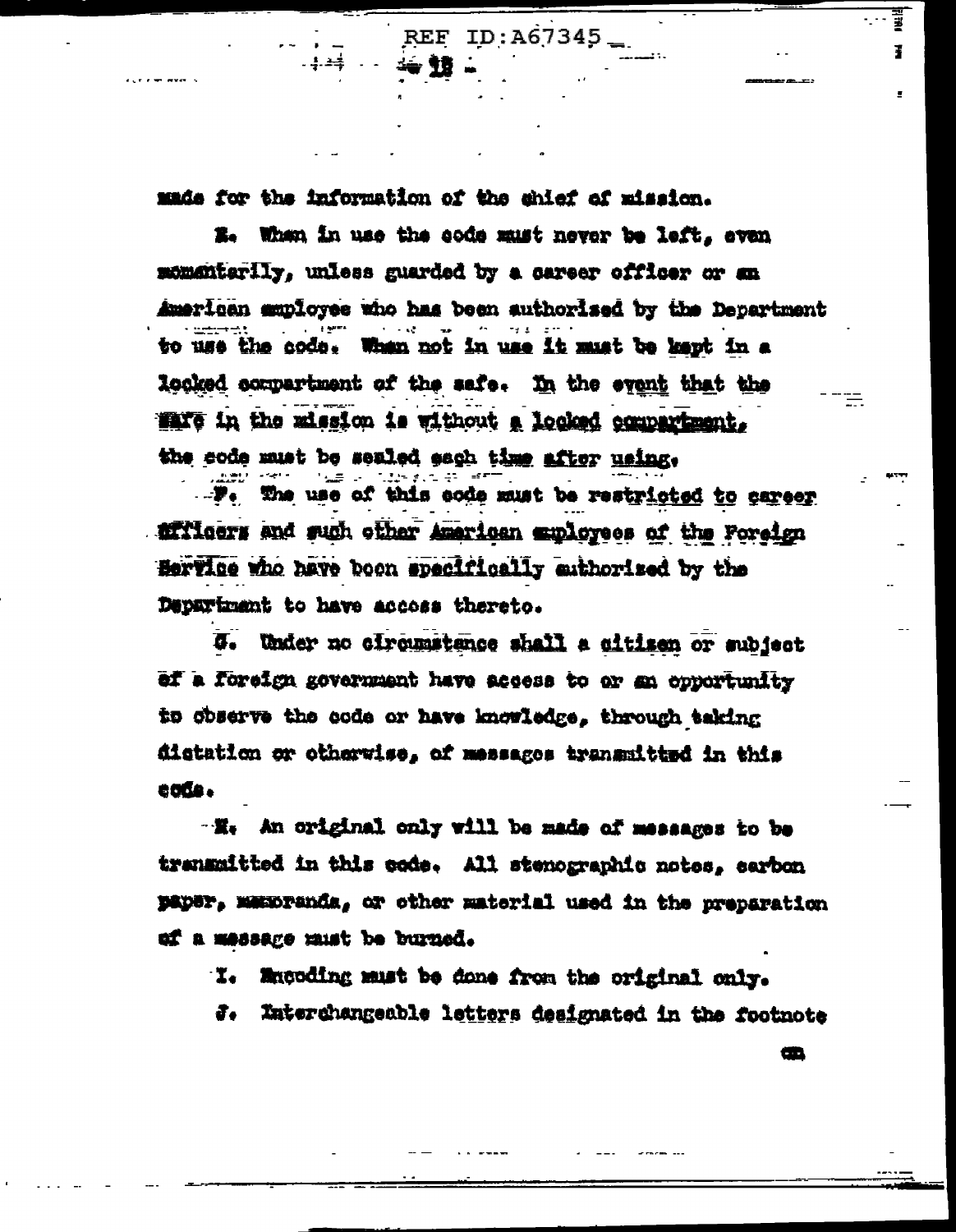made for the information of the chief of mission.

E. When in use the code must never be left, even momentarily, unless guarded by a career officer or an American muployee who has been authorised by the Department to use the code. When not in use it must be kept in a looked compartment of the safe. In the event that the Walle in the mission is without a locked compariment. the code must be sealed each time after using.

REF ID:A67345

afficers and such other American exployees of the Foreign Hervice who have been specifically enthorized by the Department to have accoss thereto.

U. Under no circumstance shall a citizen or subject ef a foreign government have access to or an opportunity to observe the code or have knowledge, through taking distation or otherwise, of messages transmitted in this code.

"He An original only will be made of messages to be transmitted in this code. All stenographic notes, earbon paper, manpenda, or other material used in the preparation of a message must be burned.

I. Mucoding must be done from the original only.

Interchangeable letters designated in the footnote ð.,

œ

Ï

Ŧ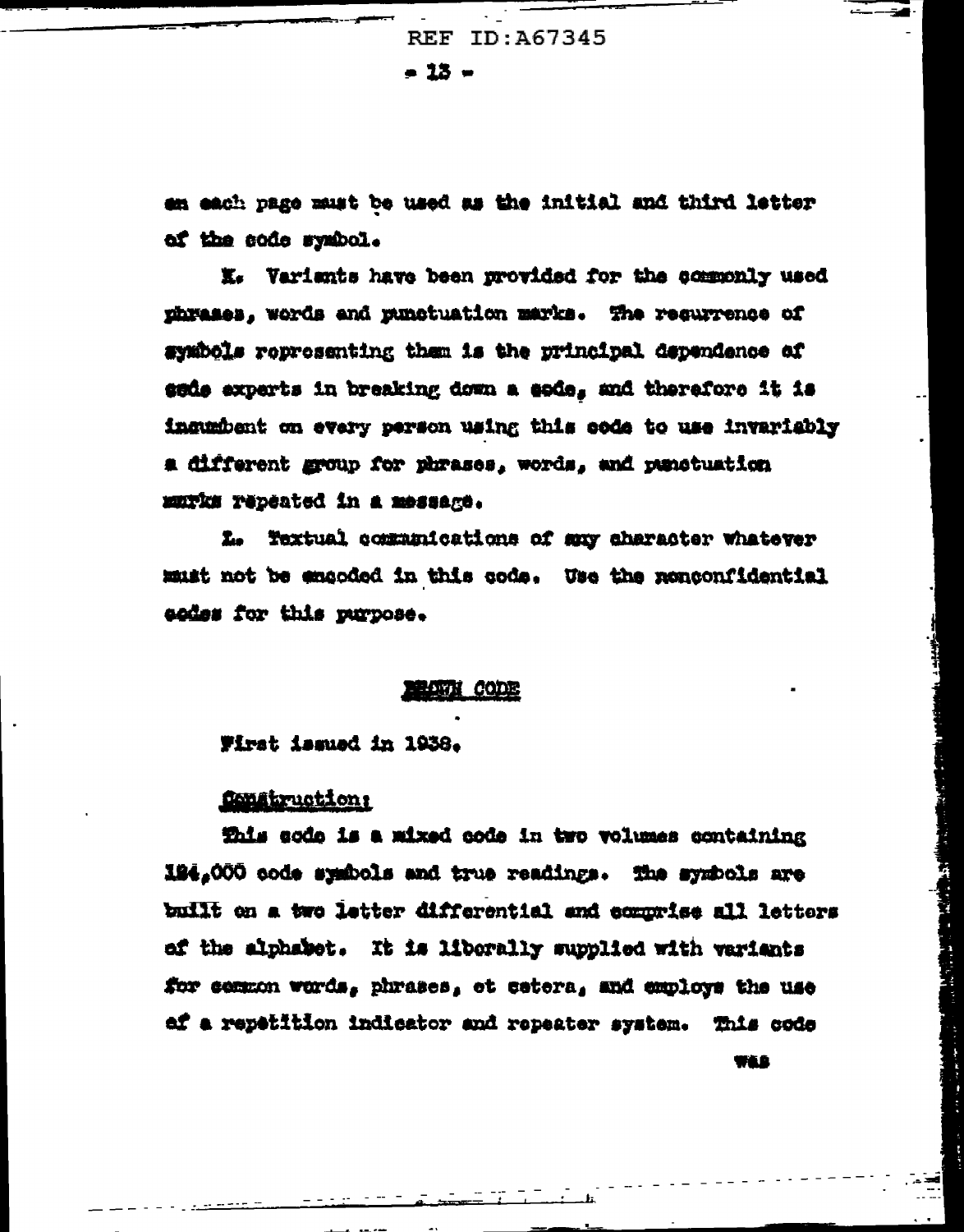REF ID: A67345  $= 13 -$ 

en each page must be used as the initial and third letter of the code symbol.

X. Variants have been provided for the commonly used phrases, words and punctuation marks. The requrrence of symbols representing them is the principal dependence of sede experts in breaking down a eode, and therefore it is ingumbent on every person using this code to use invariably a different group for phrases, words, and panetuation MUTKS repeated in a message.

L. Textual communications of suy character whatever must not be emgoded in this code. Use the nonconfidential eodes for this purpose.

#### **LATTI CODE**

Wirst issued in 1938.

## fongtruction

This sode is a mixed code in two volumes containing 194,000 code symbols and true readings. The symbols are built on a two letter differential and comprise all letters of the alphabet. It is liberally supplied with variants for common words, phrases, et cetera, and employs the use af a repetition indicator and repeater system. This code WLG

Į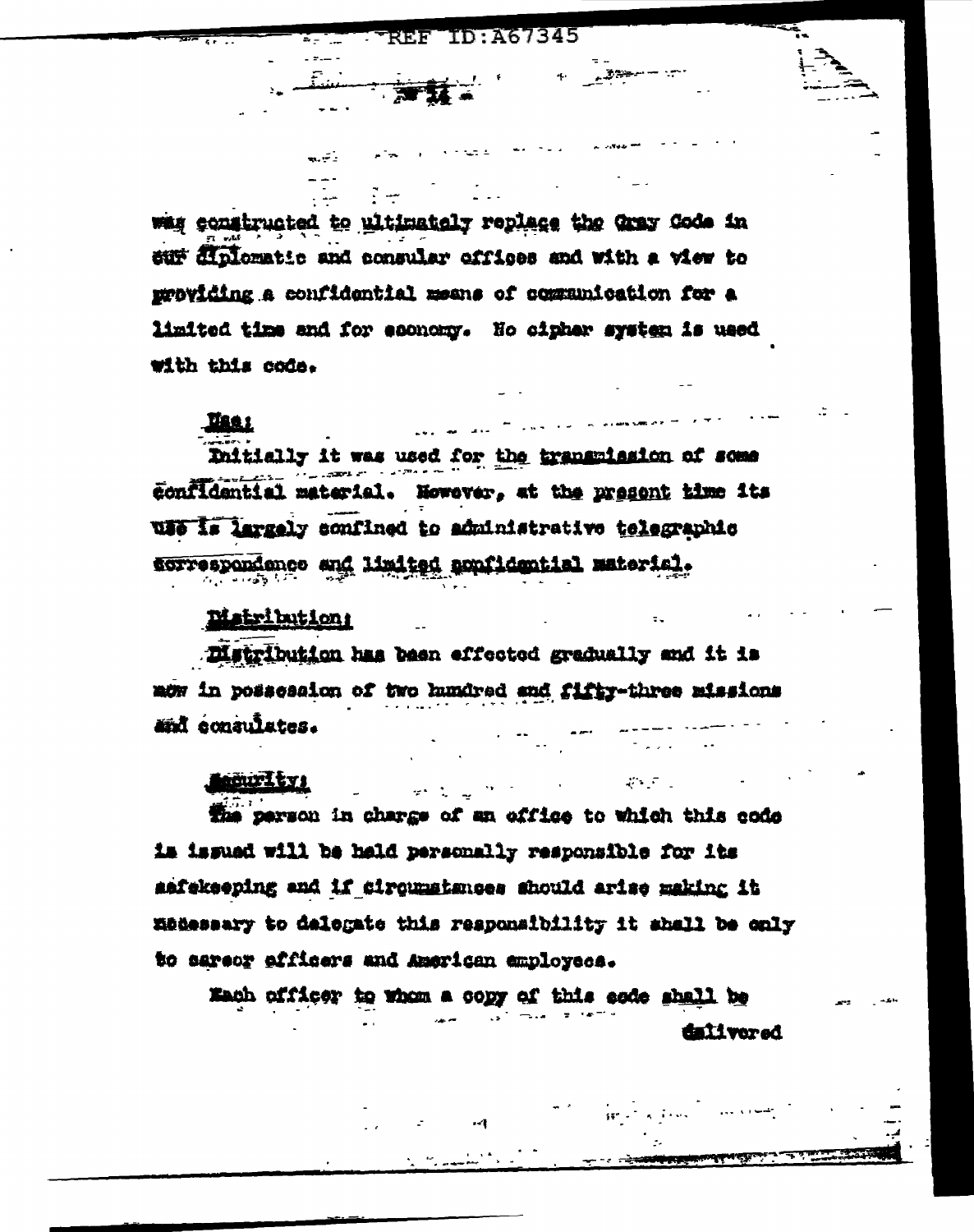TD: 467345 REF

was constructed to ultimately replace the Gray Code in sur diplomatic and consular offices and with a view to providing a confidential means of communication for a limited time and for esonomy. Ho cipher system is used with this code.

## **Hae**s

Initially it was used for the transmission of some confidential material. However, at the present time its WHO Is largely confined to administrative telegraphic correspondence and limited appricential material.

## **Matribution:**

a. Fi

Distribution has been effected gradually and it is now in possession of two hundred and fifty-three missions and consulates.

## **Lecturity:**

The person in charge of an effice to which this code is issued will be held personally responsible for its safekeeping and if circumstances should arise making it madessary to delegate this responsibility it shall be only to sareor afficers and American employees.

المستحدث والفي

Mach officer to whom a copy of this sode shall be

dalivered

 $\mathcal{L}^{\text{max}}(\mathcal{L}^{\text{max}})$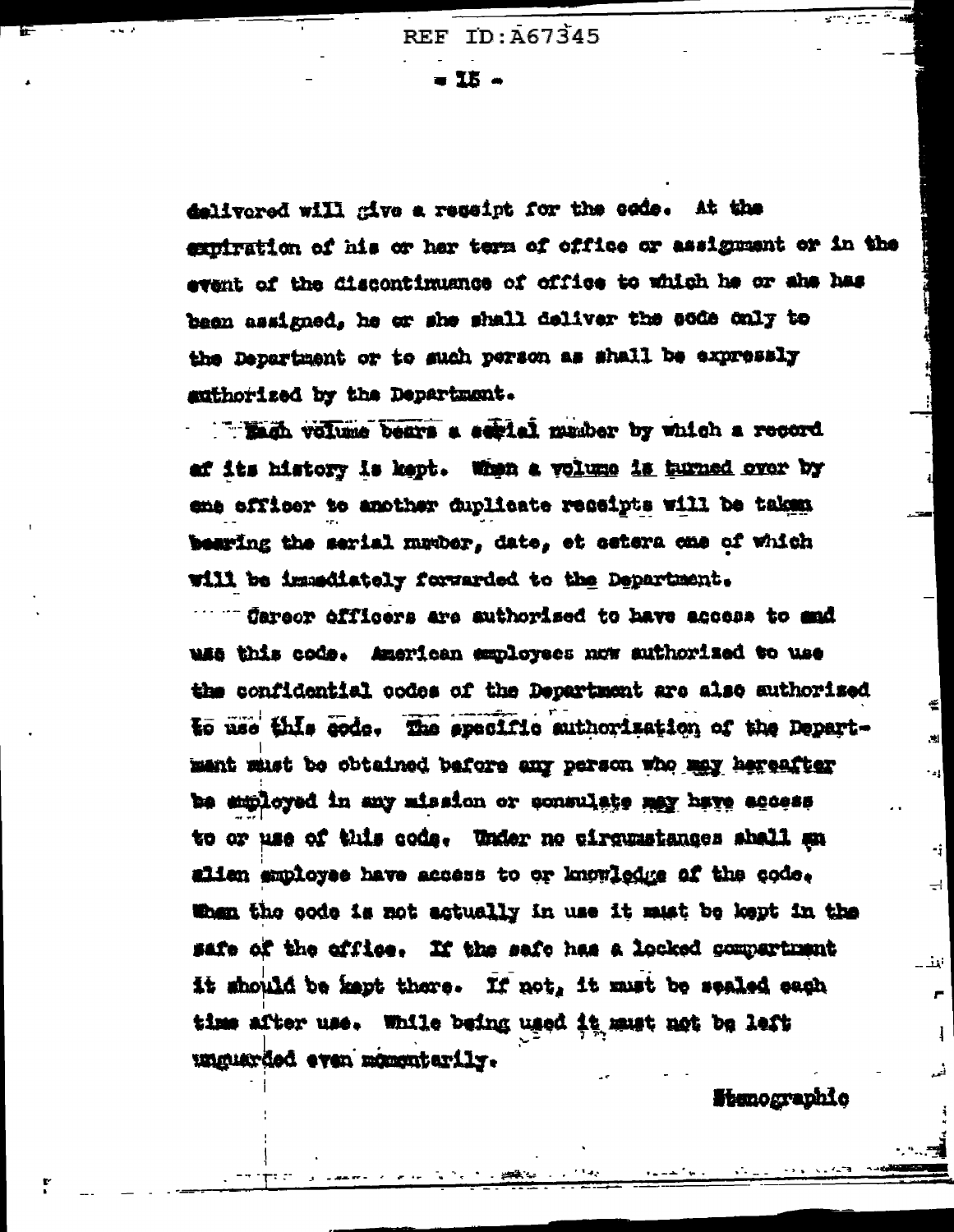$\blacksquare$  IK  $\clubsuit$ 

delivered will give a ressipt for the eads. At the exuitration of his or har term of office or assignment or in the event of the discontinuance of office to which he or she has been assigned, he or she shall deliver the eode only to the Department or to such person as shall be expressly authorized by the Department.

Than volume bears a serial member by which a record af its history is kept. When a volume is hurned over by ene officer to another duplicate reseipts will be taken bearing the serial munber, date, et setera cme of which will be immediately forwarded to the Department.

" Careor officers are suthorised to have access to sad use this code. American employees now suthorized to use the confidential ocdes of the Department are also suthorized to use this code. The specific authorization of the Department must be obtained before any person who may hereafter be amployed in any mission or consulate may have access to or use of this code. Under no cirquastances shall an alien employee have access to or knowledge of the code. When the code is not actually in use it must be kept in the safe of the office. If the safe has a locked compartment it should be kept there. If not, it must be sealed each time after use. While being used it must not be left unguarded even momentarily.

**Stanographic** 

€

.<br>Al

ا ر -

֔.

ᆗ

أنفث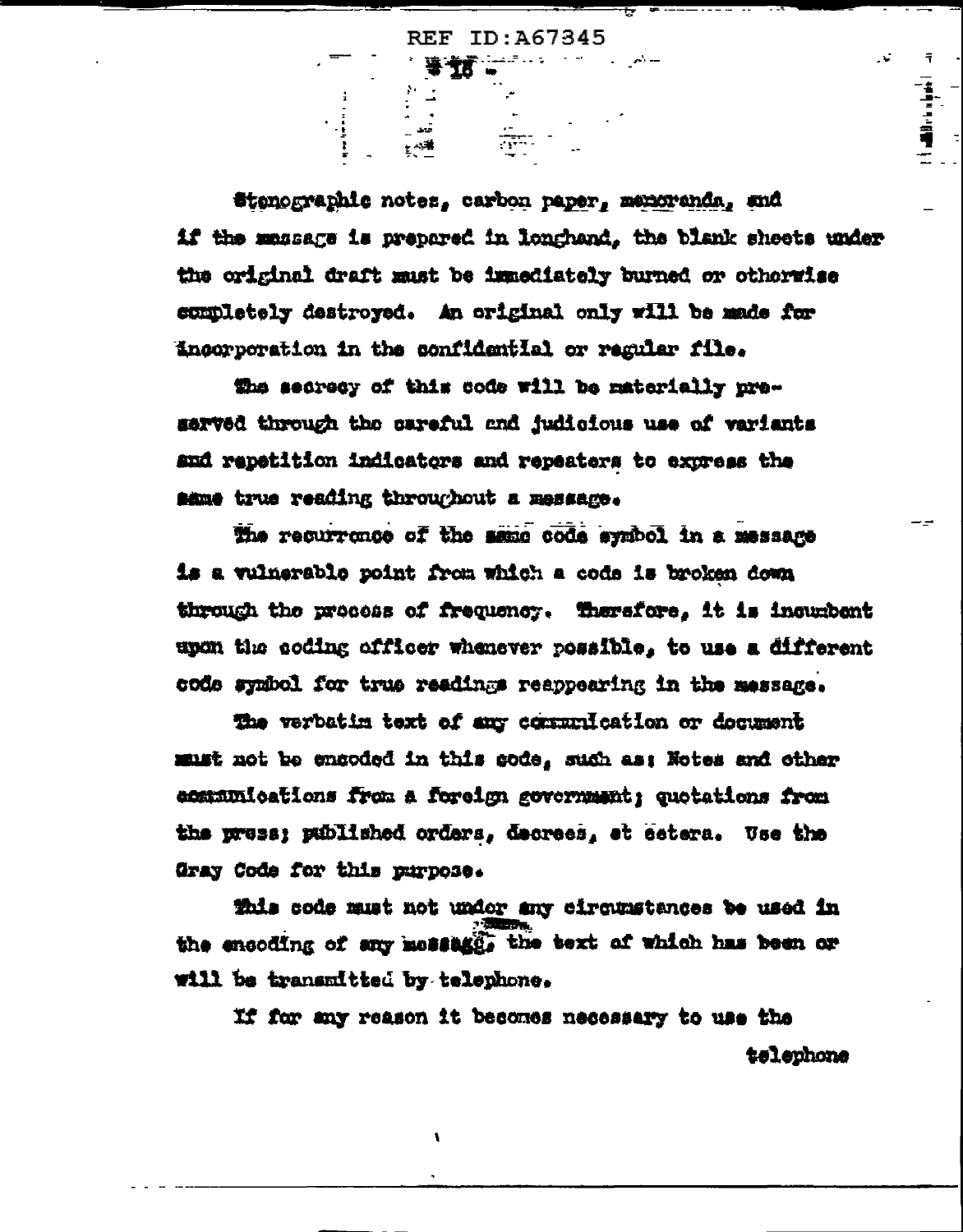**等方。** 

 $\mathcal{N}^{\pm}$ 

Stenographic notes, carbon paper, memoranda, and if the massage is prepared in longhand, the blank sheets under the original draft must be immediately burned or otherwise completely destroyed. An original only will be made for incorporation in the confidential or regular file.

the secrecy of this code will be materially preserved through the careful and judicious use of variants and repetition indicators and repeaters to express the same true reading throughout a message.

The recurrence of the same code symbol in a message is a vulmerable point from which a code is broken down through the process of frequency. Therefore, it is incurbent upon the coding officer whenever possible, to use a different code symbol for true readings reappearing in the message.

The verbatin text of any communication or document must not be encoded in this code, such as: Notes and other ecementoations from a foreign government; quotations from the press; published orders, decrees, et cetera. Use the Gray Code for this purpose.

This code must not under any circumstances be used in the encoding of any message, the text of which has been or will be transmitted by telephone.

١

If for any reason it becomes necessary to use the telephone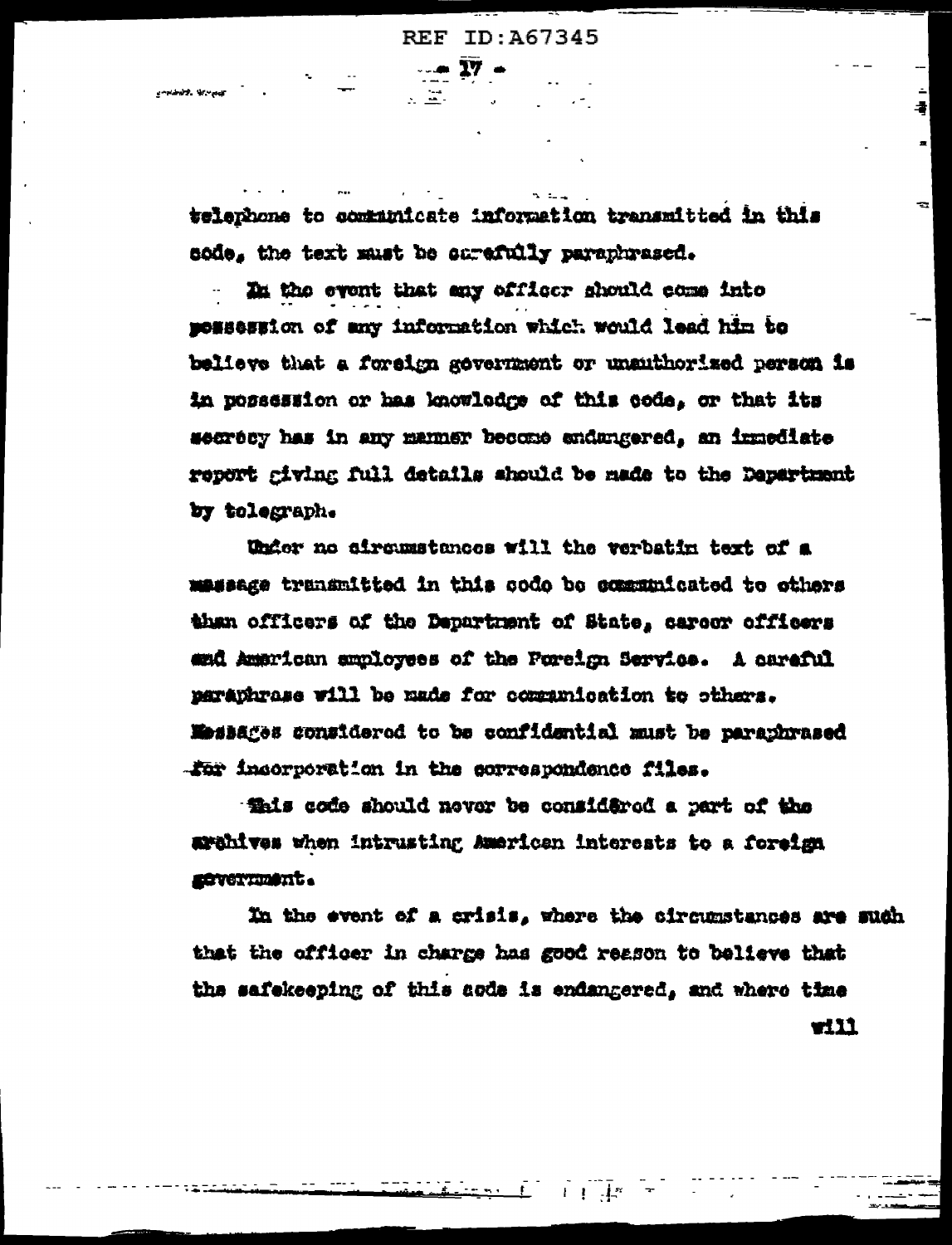$\sqrt{27}$   $\approx$ 

医室内

telenhone to communicate information transmitted in this sode, the text must be surefully paraphrased.

In the event that any officer should come into momession of any information which would lead him to believe that a foreign gevernment or unsuthorized person is in possession or has knowledge of this code, or that its secrecy has in any manner become endungered, an immediate report giving full details should be made to the Department by tolegraph.

Under no sircumstances will the verbatin text of a massage transmitted in this code be communicated to others than officers of the Department of State, careor officers and American smployees of the Foreign Service. A aareful paraphrase will be made for communication to others. Mossages considered to be confidential must be paraphrased .for incorporation in the correspondence files.

that a freq a hould never be considered a part of the arahives when intrusting American interests to a foreign severnment.

In the event of a crisis, where the circumstances are such that the officer in charge has good reason to believe that the safekeeping of this acde is endangered, and where time will.

÷.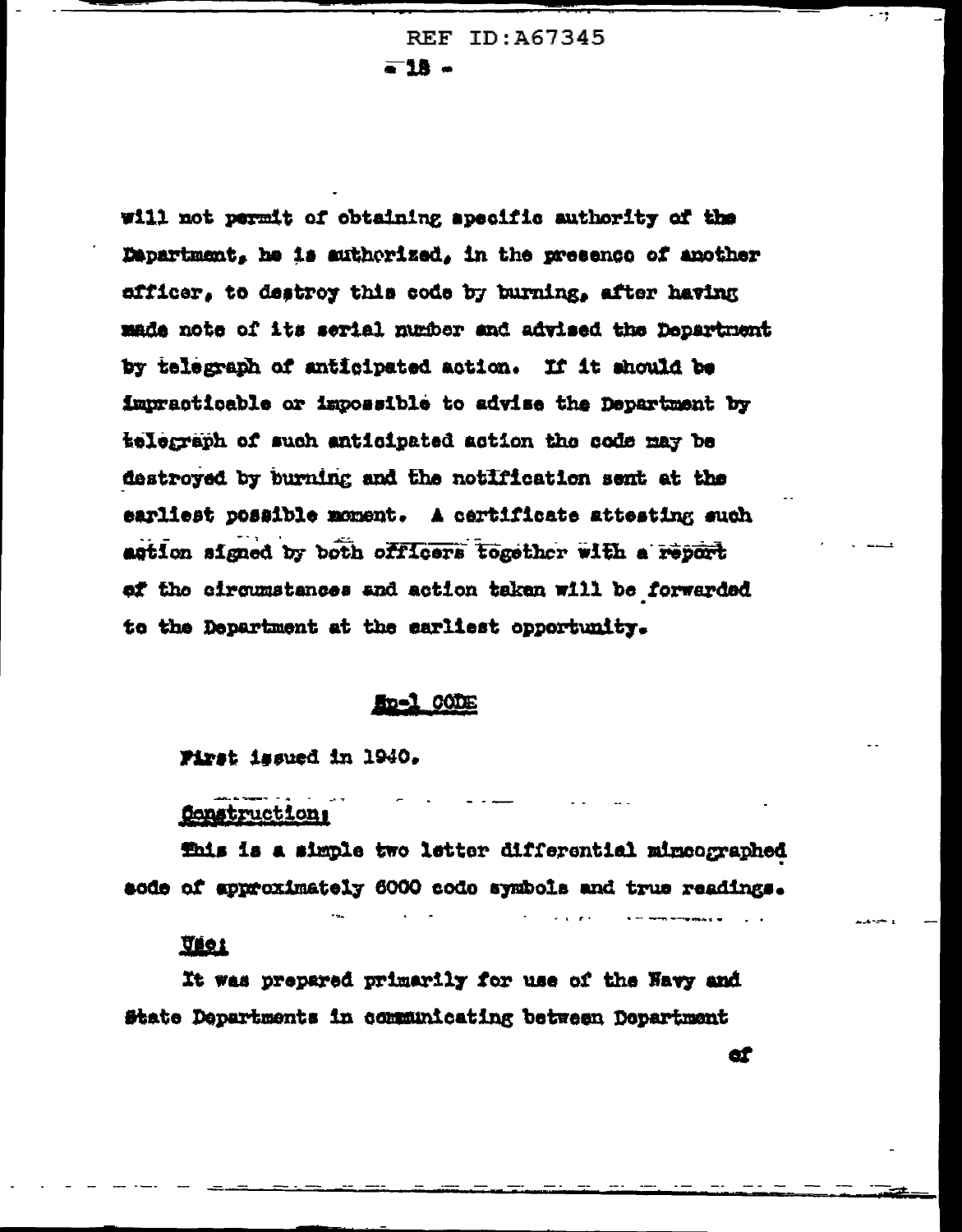REF ID: A67345 -18 -

will not permit of obtaining apecific authority of the Department, he is suthorized, in the presence of another afficer, to destroy this code by burning, after having made note of its serial number and advised the Department by telegraph of anticipated action. If it should be impracticable or impossible to advise the Department by telegraph of such anticipated action the code may be destroyed by burning and the notification sent at the earliest possible moment. A certificate attesting such astion signed by both officers together with a report of the circumstances and action taken will be forwarded to the Department at the earliest opportunity.

#### **En=1 CODE**

#### First issued in 1940.

#### Construction,

fhis is a simple two letter differential mimeographed sode of approximately 6000 code symbols and true readings.

#### <u>Váol</u>

It was prepared primarily for use of the Navy and State Departments in communicating between Department

œ

- 79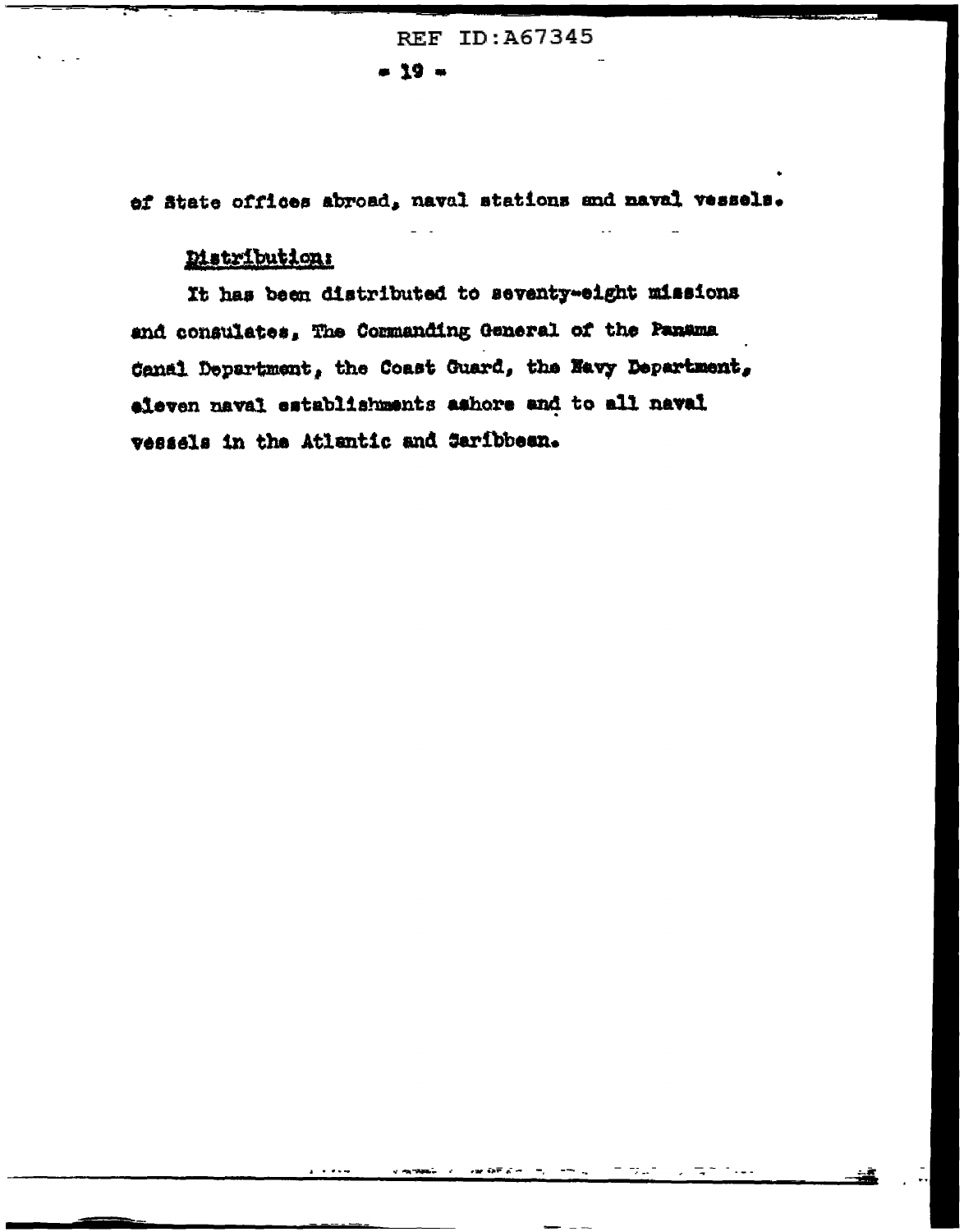**REF ID: A67345**  $-19 -$ 

of ätate offices abroad, naval stations and naval vessels.

## Distribution:

It has been distributed to seventy-eight missions and consulates, The Commanding General of the Panama Canal Department, the Coast Guard, the Navy Department, eleven naval establishments ashore and to all naval vessels in the Atlantic and Saribbean.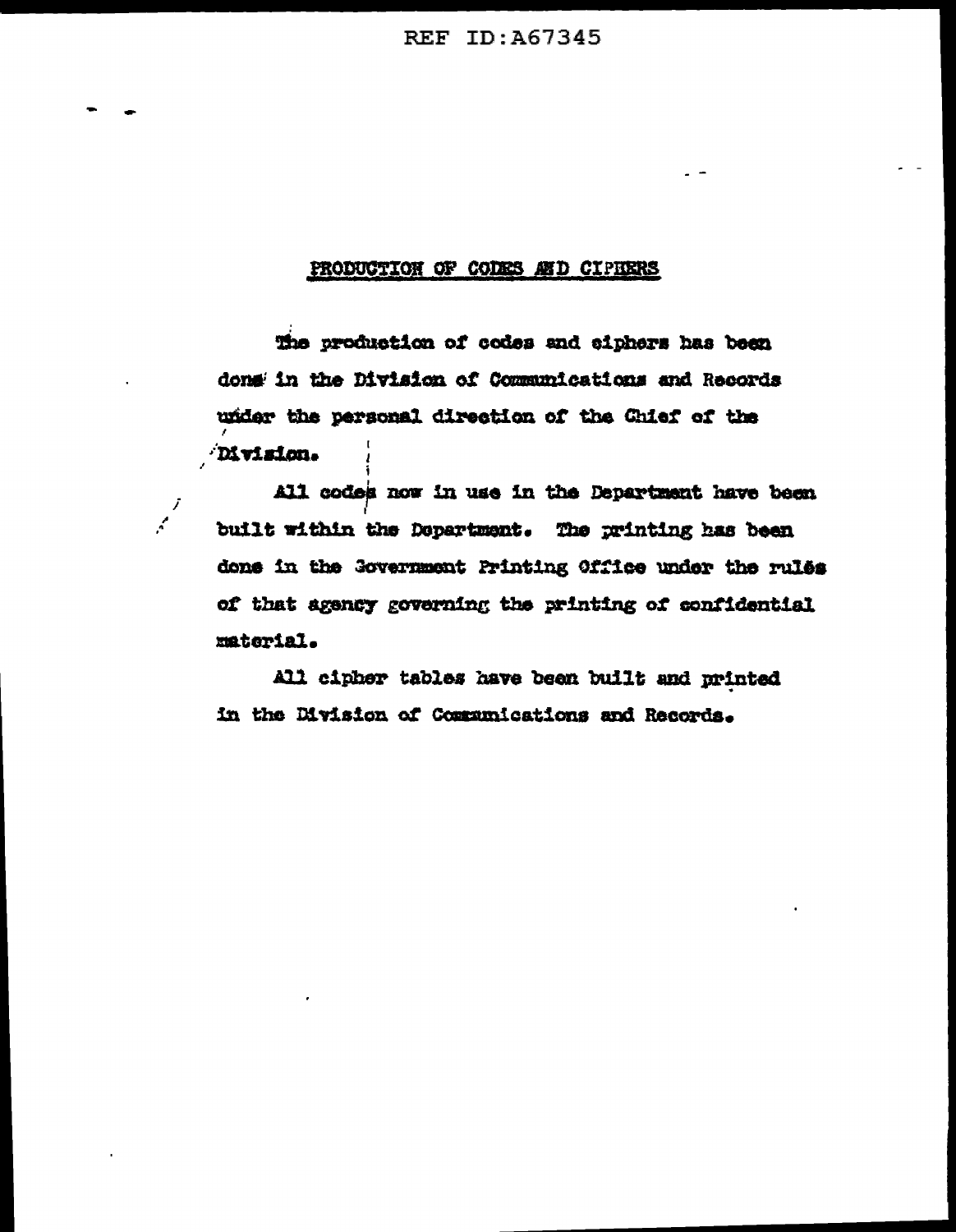#### PRODUCTION OF CODES AND CIPHERS

The production of codes and ciphers has been done in the Division of Communications and Records under the personal direction of the Chief of the Division.

J  $\mathcal{L}$ 

All codes now in use in the Department have been built within the Department. The printing has been done in the Government Printing Office under the rules of that agency governing the printing of confidential material.

All cipher tables have been built and printed in the Division of Communications and Records.